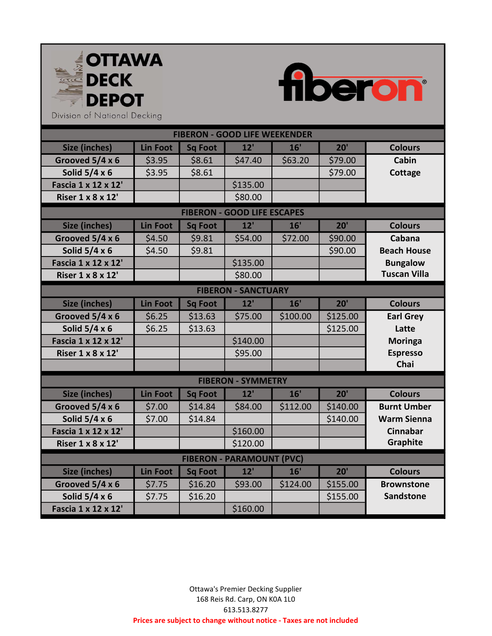



Division of National Decking

| <b>FIBERON - GOOD LIFE WEEKENDER</b> |                 |                |          |          |          |                     |  |  |  |
|--------------------------------------|-----------------|----------------|----------|----------|----------|---------------------|--|--|--|
| <b>Size (inches)</b>                 | <b>Lin Foot</b> | <b>Sq Foot</b> | 12'      | 16'      | 20'      | <b>Colours</b>      |  |  |  |
| Grooved 5/4 x 6                      | \$3.95          | \$8.61         | \$47.40  | \$63.20  | \$79.00  | Cabin               |  |  |  |
| Solid $5/4 \times 6$                 | \$3.95          | \$8.61         |          |          | \$79.00  | Cottage             |  |  |  |
| Fascia 1 x 12 x 12'                  |                 |                | \$135.00 |          |          |                     |  |  |  |
| <b>Riser 1 x 8 x 12'</b>             |                 |                | \$80.00  |          |          |                     |  |  |  |
| <b>FIBERON - GOOD LIFE ESCAPES</b>   |                 |                |          |          |          |                     |  |  |  |
| <b>Size (inches)</b>                 | <b>Lin Foot</b> | <b>Sq Foot</b> | 12'      | 16'      | 20'      | <b>Colours</b>      |  |  |  |
| Grooved 5/4 x 6                      | \$4.50          | \$9.81         | \$54.00  | \$72.00  | \$90.00  | Cabana              |  |  |  |
| Solid $5/4 \times 6$                 | \$4.50          | \$9.81         |          |          | \$90.00  | <b>Beach House</b>  |  |  |  |
| Fascia 1 x 12 x 12'                  |                 |                | \$135.00 |          |          | <b>Bungalow</b>     |  |  |  |
| Riser 1 x 8 x 12'                    |                 |                | \$80.00  |          |          | <b>Tuscan Villa</b> |  |  |  |
| <b>FIBERON - SANCTUARY</b>           |                 |                |          |          |          |                     |  |  |  |
| <b>Size (inches)</b>                 | <b>Lin Foot</b> | <b>Sq Foot</b> | 12'      | 16'      | 20'      | <b>Colours</b>      |  |  |  |
| Grooved 5/4 x 6                      | \$6.25          | \$13.63        | \$75.00  | \$100.00 | \$125.00 | <b>Earl Grey</b>    |  |  |  |
| Solid $5/4 \times 6$                 | \$6.25          | \$13.63        |          |          | \$125.00 | Latte               |  |  |  |
| Fascia 1 x 12 x 12'                  |                 |                | \$140.00 |          |          | <b>Moringa</b>      |  |  |  |
| <b>Riser 1 x 8 x 12'</b>             |                 |                | \$95.00  |          |          | <b>Espresso</b>     |  |  |  |
|                                      |                 |                |          |          |          | Chai                |  |  |  |
| <b>FIBERON - SYMMETRY</b>            |                 |                |          |          |          |                     |  |  |  |
| <b>Size (inches)</b>                 | <b>Lin Foot</b> | <b>Sq Foot</b> | 12'      | 16'      | 20'      | <b>Colours</b>      |  |  |  |
| Grooved 5/4 x 6                      | \$7.00          | \$14.84        | \$84.00  | \$112.00 | \$140.00 | <b>Burnt Umber</b>  |  |  |  |
| Solid $5/4 \times 6$                 | \$7.00          | \$14.84        |          |          | \$140.00 | <b>Warm Sienna</b>  |  |  |  |
| Fascia 1 x 12 x 12'                  |                 |                | \$160.00 |          |          | <b>Cinnabar</b>     |  |  |  |
| <b>Riser 1 x 8 x 12'</b>             |                 |                | \$120.00 |          |          | Graphite            |  |  |  |
| <b>FIBERON - PARAMOUNT (PVC)</b>     |                 |                |          |          |          |                     |  |  |  |
| <b>Size (inches)</b>                 | <b>Lin Foot</b> | <b>Sq Foot</b> | 12'      | 16'      | 20'      | <b>Colours</b>      |  |  |  |
| Grooved 5/4 x 6                      | \$7.75          | \$16.20        | \$93.00  | \$124.00 | \$155.00 | <b>Brownstone</b>   |  |  |  |
| Solid $5/4 \times 6$                 | \$7.75          | \$16.20        |          |          | \$155.00 | <b>Sandstone</b>    |  |  |  |
| Fascia 1 x 12 x 12'                  |                 |                | \$160.00 |          |          |                     |  |  |  |